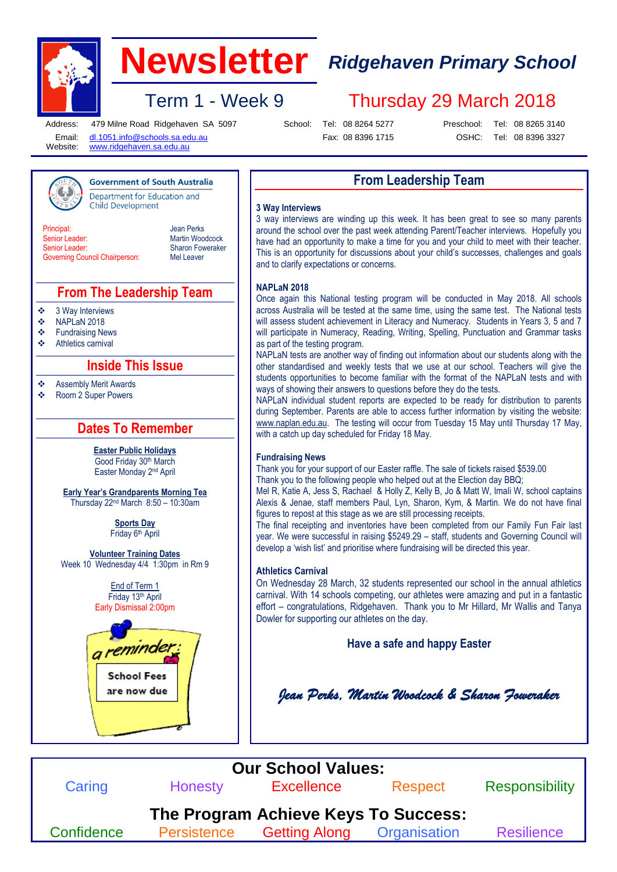

# **Newsletter** *Ridgehaven Primary School*

Term 1 - Week 9 Thursday 29 March 2018

Address: Email: Website:

479 Milne Road Ridgehaven SA 5097 [dl.1051.info@schools.sa.edu.au](mailto:dl.1051.info@schools.sa.edu.au)

**Government of South Australia** Department for Education and

School: Tel: 08 8264 5277

Preschool:

Tel: 08 8265 3140

[www.ridgehaven.sa.edu.au](http://www.ridgehaven.sa.edu.au/).

**Child Development** 

Fax: 08 8396 1715

OSHC: Tel: 08 8396 3327

# **From Leadership Team**

#### **3 Way Interviews**

**Principal** Senior Leader: Senior Leader: Governing Council Chairperson: Jean Perks Martin Woodcock Sharon Foweraker Mel Leaver

## **From The Leadership Team**

 $\div$  3 Way Interviews<br> $\div$  NAPI aN 2018

- 
- $\bullet$  NAPLaN 2018<br> $\bullet$  Fundraising Ne Fundraising News
- Athletics carnival

# **Inside This Issue**

Assembly Merit Awards

Room 2 Super Powers

# **Dates To Remember**

**Easter Public Holidays** Good Friday 30th March Easter Monday 2nd April

**Early Year's Grandparents Morning Tea** Thursday 22nd March 8:50 – 10:30am

> **Sports Day** Friday 6th April

**Volunteer Training Dates** Week 10 Wednesday 4/4 1:30pm in Rm 9

> End of Term 1 Friday 13th April Early Dismissal 2:00pm



3 way interviews are winding up this week. It has been great to see so many parents around the school over the past week attending Parent/Teacher interviews. Hopefully you have had an opportunity to make a time for you and your child to meet with their teacher. This is an opportunity for discussions about your child's successes, challenges and goals and to clarify expectations or concerns.

#### **NAPLaN 2018**

Once again this National testing program will be conducted in May 2018. All schools across Australia will be tested at the same time, using the same test. The National tests will assess student achievement in Literacy and Numeracy. Students in Years 3, 5 and 7 will participate in Numeracy, Reading, Writing, Spelling, Punctuation and Grammar tasks as part of the testing program.

NAPLaN tests are another way of finding out information about our students along with the other standardised and weekly tests that we use at our school. Teachers will give the students opportunities to become familiar with the format of the NAPLaN tests and with ways of showing their answers to questions before they do the tests.

NAPLaN individual student reports are expected to be ready for distribution to parents during September. Parents are able to access further information by visiting the website: [www.naplan.edu.au.](http://www.naplan.edu.au/) The testing will occur from Tuesday 15 May until Thursday 17 May, with a catch up day scheduled for Friday 18 May.

#### **Fundraising News**

Thank you for your support of our Easter raffle. The sale of tickets raised \$539.00 Thank you to the following people who helped out at the Election day BBQ;

Mel R, Katie A, Jess S, Rachael & Holly Z, Kelly B, Jo & Matt W, Imali W, school captains Alexis & Jenae, staff members Paul, Lyn, Sharon, Kym, & Martin. We do not have final figures to repost at this stage as we are still processing receipts.

The final receipting and inventories have been completed from our Family Fun Fair last year. We were successful in raising \$5249.29 – staff, students and Governing Council will develop a 'wish list' and prioritise where fundraising will be directed this year.

### **Athletics Carnival**

On Wednesday 28 March, 32 students represented our school in the annual athletics carnival. With 14 schools competing, our athletes were amazing and put in a fantastic effort – congratulations, Ridgehaven. Thank you to Mr Hillard, Mr Wallis and Tanya Dowler for supporting our athletes on the day.

**Have a safe and happy Easter**

*Jean Perks, Martin Woodcock & Sharon Foweraker*

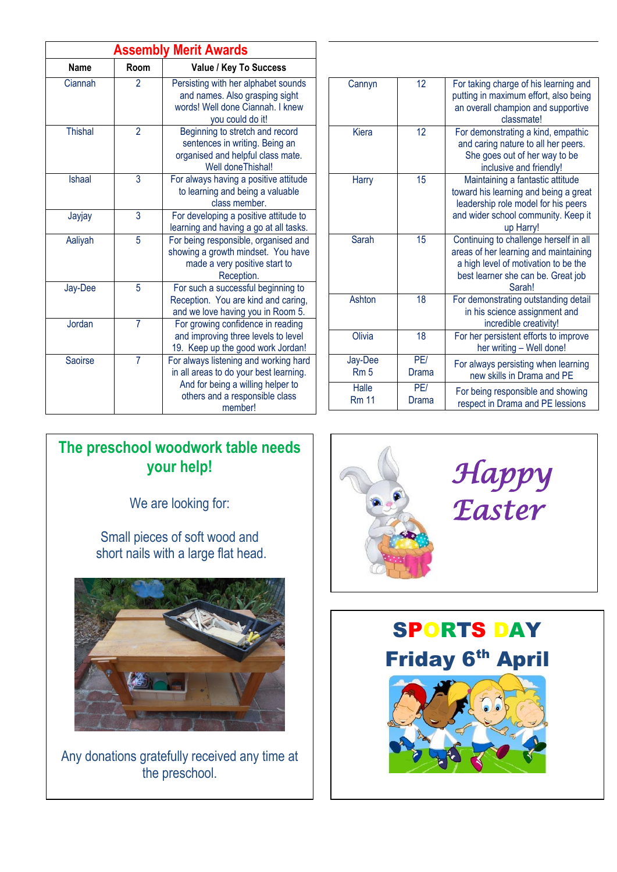| <b>Assembly Merit Awards</b> |                |                                                                                                                                                                   |
|------------------------------|----------------|-------------------------------------------------------------------------------------------------------------------------------------------------------------------|
| <b>Name</b>                  | Room           | Value / Key To Success                                                                                                                                            |
| Ciannah                      | 2              | Persisting with her alphabet sounds<br>and names. Also grasping sight<br>words! Well done Ciannah, I knew<br>you could do it!                                     |
| <b>Thishal</b>               | $\overline{2}$ | Beginning to stretch and record<br>sentences in writing. Being an<br>organised and helpful class mate.<br>Well doneThishal!                                       |
| Ishaal                       | 3              | For always having a positive attitude<br>to learning and being a valuable<br>class member.                                                                        |
| Jayjay                       | 3              | For developing a positive attitude to<br>learning and having a go at all tasks.                                                                                   |
| Aaliyah                      | 5              | For being responsible, organised and<br>showing a growth mindset. You have<br>made a very positive start to<br>Reception.                                         |
| Jay-Dee                      | 5              | For such a successful beginning to<br>Reception. You are kind and caring,<br>and we love having you in Room 5.                                                    |
| Jordan                       | 7              | For growing confidence in reading<br>and improving three levels to level<br>19. Keep up the good work Jordan!                                                     |
| Saoirse                      | $\overline{7}$ | For always listening and working hard<br>in all areas to do your best learning.<br>And for being a willing helper to<br>others and a responsible class<br>member! |

| Cannyn                     | 12           | For taking charge of his learning and<br>putting in maximum effort, also being<br>an overall champion and supportive<br>classmate!                                      |
|----------------------------|--------------|-------------------------------------------------------------------------------------------------------------------------------------------------------------------------|
| Kiera                      | 12           | For demonstrating a kind, empathic<br>and caring nature to all her peers.<br>She goes out of her way to be<br>inclusive and friendly!                                   |
| Harry                      | 15           | Maintaining a fantastic attitude<br>toward his learning and being a great<br>leadership role model for his peers<br>and wider school community. Keep it<br>up Harry!    |
| Sarah                      | 15           | Continuing to challenge herself in all<br>areas of her learning and maintaining<br>a high level of motivation to be the<br>best learner she can be. Great job<br>Sarah! |
| Ashton                     | 18           | For demonstrating outstanding detail<br>in his science assignment and<br>incredible creativity!                                                                         |
| Olivia                     | 18           | For her persistent efforts to improve<br>her writing - Well done!                                                                                                       |
| Jay-Dee<br>Rm <sub>5</sub> | PF/<br>Drama | For always persisting when learning<br>new skills in Drama and PE                                                                                                       |
| Halle<br><b>Rm 11</b>      | PE/<br>Drama | For being responsible and showing<br>respect in Drama and PE lessions                                                                                                   |

# **The preschool woodwork table needs your help!**

We are looking for:

Small pieces of soft wood and short nails with a large flat head.



Any donations gratefully received any time at the preschool.



SPORTS DAY **Friday 6<sup>th</sup> April**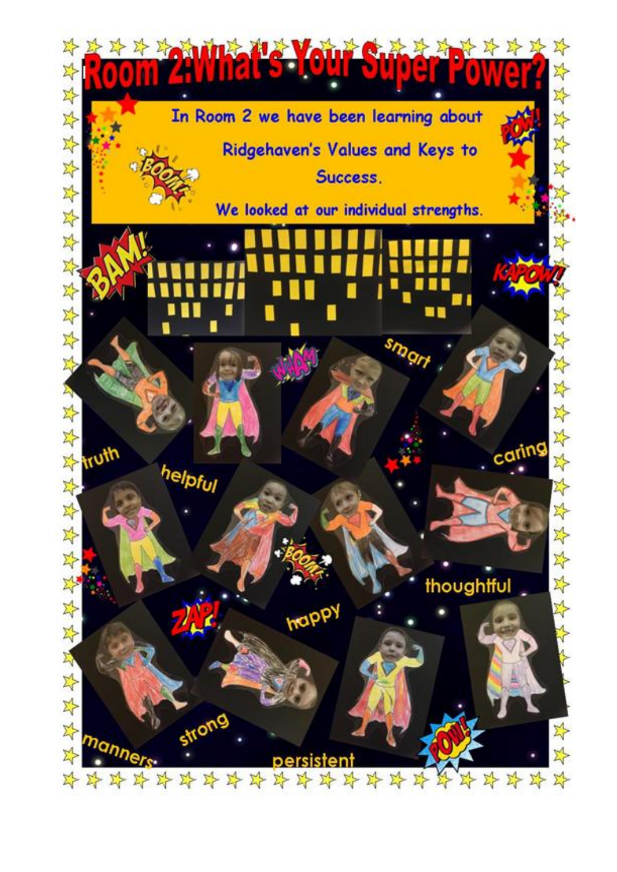